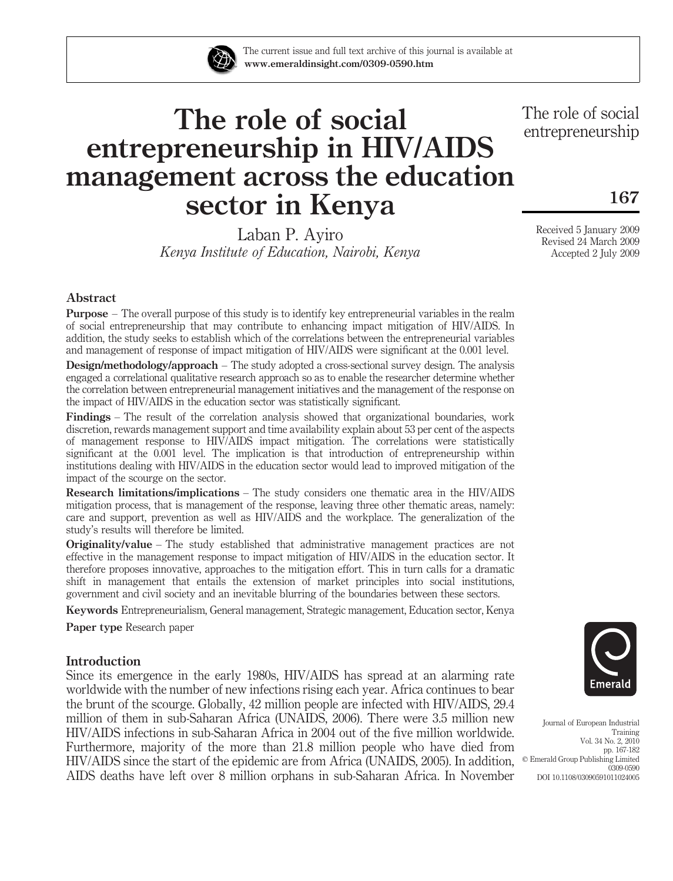

# The role of social entrepreneurship in HIV/AIDS management across the education sector in Kenya

Laban P. Ayiro Kenya Institute of Education, Nairobi, Kenya The role of social entrepreneurship

167

Received 5 January 2009 Revised 24 March 2009 Accepted 2 July 2009

# Abstract

Purpose – The overall purpose of this study is to identify key entrepreneurial variables in the realm of social entrepreneurship that may contribute to enhancing impact mitigation of HIV/AIDS. In addition, the study seeks to establish which of the correlations between the entrepreneurial variables and management of response of impact mitigation of HIV/AIDS were significant at the 0.001 level.

Design/methodology/approach – The study adopted a cross-sectional survey design. The analysis engaged a correlational qualitative research approach so as to enable the researcher determine whether the correlation between entrepreneurial management initiatives and the management of the response on the impact of HIV/AIDS in the education sector was statistically significant.

Findings – The result of the correlation analysis showed that organizational boundaries, work discretion, rewards management support and time availability explain about 53 per cent of the aspects of management response to HIV/AIDS impact mitigation. The correlations were statistically significant at the 0.001 level. The implication is that introduction of entrepreneurship within institutions dealing with HIV/AIDS in the education sector would lead to improved mitigation of the impact of the scourge on the sector.

Research limitations/implications – The study considers one thematic area in the HIV/AIDS mitigation process, that is management of the response, leaving three other thematic areas, namely: care and support, prevention as well as HIV/AIDS and the workplace. The generalization of the study's results will therefore be limited.

Originality/value – The study established that administrative management practices are not effective in the management response to impact mitigation of HIV/AIDS in the education sector. It therefore proposes innovative, approaches to the mitigation effort. This in turn calls for a dramatic shift in management that entails the extension of market principles into social institutions, government and civil society and an inevitable blurring of the boundaries between these sectors.

Keywords Entrepreneurialism, General management, Strategic management, Education sector, Kenya

Paper type Research paper

## **Introduction**

Since its emergence in the early 1980s, HIV/AIDS has spread at an alarming rate worldwide with the number of new infections rising each year. Africa continues to bear the brunt of the scourge. Globally, 42 million people are infected with HIV/AIDS, 29.4 million of them in sub-Saharan Africa (UNAIDS, 2006). There were 3.5 million new HIV/AIDS infections in sub-Saharan Africa in 2004 out of the five million worldwide. Furthermore, majority of the more than 21.8 million people who have died from HIV/AIDS since the start of the epidemic are from Africa (UNAIDS, 2005). In addition, AIDS deaths have left over 8 million orphans in sub-Saharan Africa. In November



Journal of European Industrial Training Vol. 34 No. 2, 2010 pp. 167-182  $©$  Emerald Group Publishing Limited 0309-0590 DOI 10.1108/03090591011024005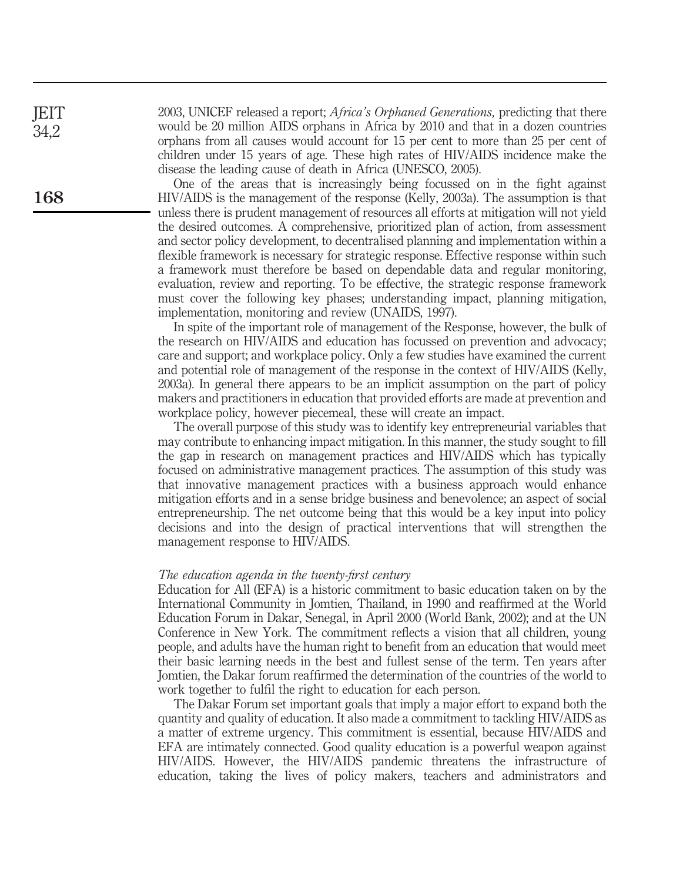2003, UNICEF released a report; Africa's Orphaned Generations, predicting that there would be 20 million AIDS orphans in Africa by 2010 and that in a dozen countries orphans from all causes would account for 15 per cent to more than 25 per cent of children under 15 years of age. These high rates of HIV/AIDS incidence make the disease the leading cause of death in Africa (UNESCO, 2005).

One of the areas that is increasingly being focussed on in the fight against HIV/AIDS is the management of the response (Kelly, 2003a). The assumption is that unless there is prudent management of resources all efforts at mitigation will not yield the desired outcomes. A comprehensive, prioritized plan of action, from assessment and sector policy development, to decentralised planning and implementation within a flexible framework is necessary for strategic response. Effective response within such a framework must therefore be based on dependable data and regular monitoring, evaluation, review and reporting. To be effective, the strategic response framework must cover the following key phases; understanding impact, planning mitigation, implementation, monitoring and review (UNAIDS, 1997).

In spite of the important role of management of the Response, however, the bulk of the research on HIV/AIDS and education has focussed on prevention and advocacy; care and support; and workplace policy. Only a few studies have examined the current and potential role of management of the response in the context of HIV/AIDS (Kelly, 2003a). In general there appears to be an implicit assumption on the part of policy makers and practitioners in education that provided efforts are made at prevention and workplace policy, however piecemeal, these will create an impact.

The overall purpose of this study was to identify key entrepreneurial variables that may contribute to enhancing impact mitigation. In this manner, the study sought to fill the gap in research on management practices and HIV/AIDS which has typically focused on administrative management practices. The assumption of this study was that innovative management practices with a business approach would enhance mitigation efforts and in a sense bridge business and benevolence; an aspect of social entrepreneurship. The net outcome being that this would be a key input into policy decisions and into the design of practical interventions that will strengthen the management response to HIV/AIDS.

#### The education agenda in the twenty-first century

Education for All (EFA) is a historic commitment to basic education taken on by the International Community in Jomtien, Thailand, in 1990 and reaffirmed at the World Education Forum in Dakar, Senegal, in April 2000 (World Bank, 2002); and at the UN Conference in New York. The commitment reflects a vision that all children, young people, and adults have the human right to benefit from an education that would meet their basic learning needs in the best and fullest sense of the term. Ten years after Jomtien, the Dakar forum reaffirmed the determination of the countries of the world to work together to fulfil the right to education for each person.

The Dakar Forum set important goals that imply a major effort to expand both the quantity and quality of education. It also made a commitment to tackling HIV/AIDS as a matter of extreme urgency. This commitment is essential, because HIV/AIDS and EFA are intimately connected. Good quality education is a powerful weapon against HIV/AIDS. However, the HIV/AIDS pandemic threatens the infrastructure of education, taking the lives of policy makers, teachers and administrators and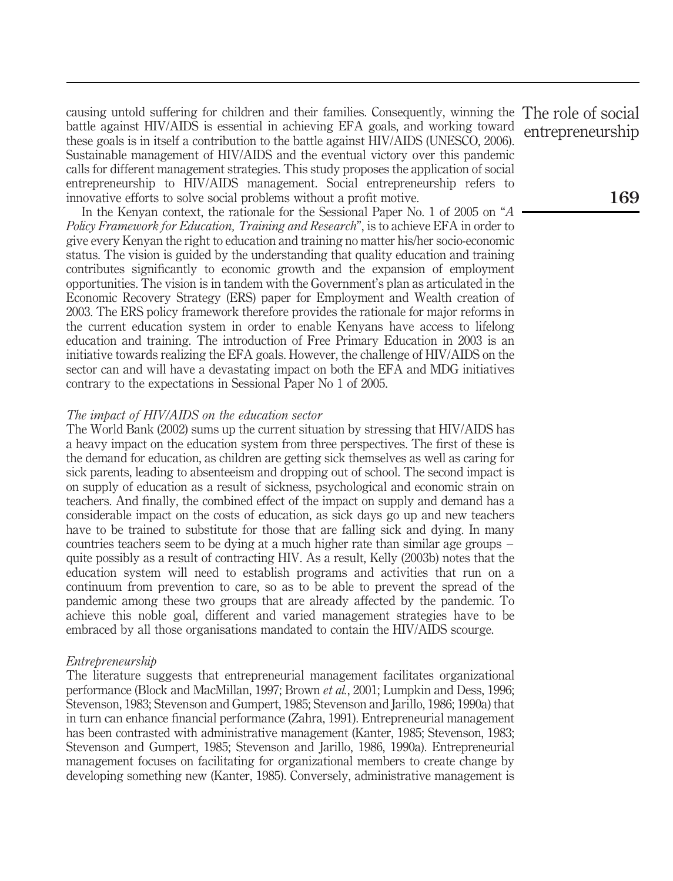causing untold suffering for children and their families. Consequently, winning the The role of social battle against HIV/AIDS is essential in achieving EFA goals, and working toward these goals is in itself a contribution to the battle against HIV/AIDS (UNESCO, 2006). Sustainable management of HIV/AIDS and the eventual victory over this pandemic calls for different management strategies. This study proposes the application of social entrepreneurship to HIV/AIDS management. Social entrepreneurship refers to innovative efforts to solve social problems without a profit motive.

In the Kenyan context, the rationale for the Sessional Paper No. 1 of 2005 on "A Policy Framework for Education, Training and Research", is to achieve EFA in order to give every Kenyan the right to education and training no matter his/her socio-economic status. The vision is guided by the understanding that quality education and training contributes significantly to economic growth and the expansion of employment opportunities. The vision is in tandem with the Government's plan as articulated in the Economic Recovery Strategy (ERS) paper for Employment and Wealth creation of 2003. The ERS policy framework therefore provides the rationale for major reforms in the current education system in order to enable Kenyans have access to lifelong education and training. The introduction of Free Primary Education in 2003 is an initiative towards realizing the EFA goals. However, the challenge of HIV/AIDS on the sector can and will have a devastating impact on both the EFA and MDG initiatives contrary to the expectations in Sessional Paper No 1 of 2005.

## The impact of HIV/AIDS on the education sector

The World Bank (2002) sums up the current situation by stressing that HIV/AIDS has a heavy impact on the education system from three perspectives. The first of these is the demand for education, as children are getting sick themselves as well as caring for sick parents, leading to absenteeism and dropping out of school. The second impact is on supply of education as a result of sickness, psychological and economic strain on teachers. And finally, the combined effect of the impact on supply and demand has a considerable impact on the costs of education, as sick days go up and new teachers have to be trained to substitute for those that are falling sick and dying. In many countries teachers seem to be dying at a much higher rate than similar age groups – quite possibly as a result of contracting HIV. As a result, Kelly (2003b) notes that the education system will need to establish programs and activities that run on a continuum from prevention to care, so as to be able to prevent the spread of the pandemic among these two groups that are already affected by the pandemic. To achieve this noble goal, different and varied management strategies have to be embraced by all those organisations mandated to contain the HIV/AIDS scourge.

# Entrepreneurship

The literature suggests that entrepreneurial management facilitates organizational performance (Block and MacMillan, 1997; Brown et al., 2001; Lumpkin and Dess, 1996; Stevenson, 1983; Stevenson and Gumpert, 1985; Stevenson and Jarillo, 1986; 1990a) that in turn can enhance financial performance (Zahra, 1991). Entrepreneurial management has been contrasted with administrative management (Kanter, 1985; Stevenson, 1983; Stevenson and Gumpert, 1985; Stevenson and Jarillo, 1986, 1990a). Entrepreneurial management focuses on facilitating for organizational members to create change by developing something new (Kanter, 1985). Conversely, administrative management is

entrepreneurship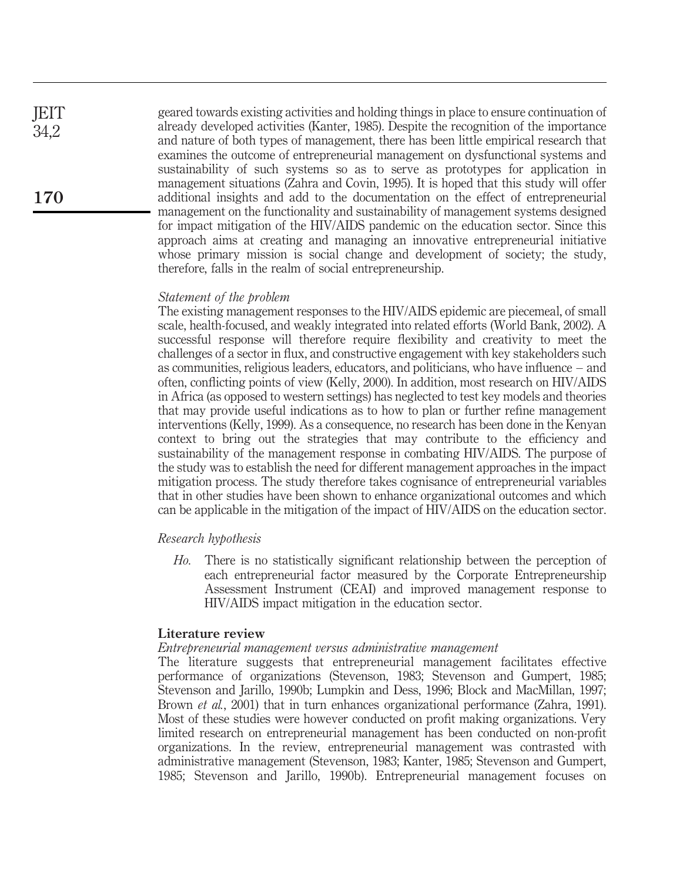geared towards existing activities and holding things in place to ensure continuation of already developed activities (Kanter, 1985). Despite the recognition of the importance and nature of both types of management, there has been little empirical research that examines the outcome of entrepreneurial management on dysfunctional systems and sustainability of such systems so as to serve as prototypes for application in management situations (Zahra and Covin, 1995). It is hoped that this study will offer additional insights and add to the documentation on the effect of entrepreneurial management on the functionality and sustainability of management systems designed for impact mitigation of the HIV/AIDS pandemic on the education sector. Since this approach aims at creating and managing an innovative entrepreneurial initiative whose primary mission is social change and development of society; the study, therefore, falls in the realm of social entrepreneurship.

# Statement of the problem

The existing management responses to the HIV/AIDS epidemic are piecemeal, of small scale, health-focused, and weakly integrated into related efforts (World Bank, 2002). A successful response will therefore require flexibility and creativity to meet the challenges of a sector in flux, and constructive engagement with key stakeholders such as communities, religious leaders, educators, and politicians, who have influence – and often, conflicting points of view (Kelly, 2000). In addition, most research on HIV/AIDS in Africa (as opposed to western settings) has neglected to test key models and theories that may provide useful indications as to how to plan or further refine management interventions (Kelly, 1999). As a consequence, no research has been done in the Kenyan context to bring out the strategies that may contribute to the efficiency and sustainability of the management response in combating HIV/AIDS. The purpose of the study was to establish the need for different management approaches in the impact mitigation process. The study therefore takes cognisance of entrepreneurial variables that in other studies have been shown to enhance organizational outcomes and which can be applicable in the mitigation of the impact of HIV/AIDS on the education sector.

# Research hypothesis

Ho. There is no statistically significant relationship between the perception of each entrepreneurial factor measured by the Corporate Entrepreneurship Assessment Instrument (CEAI) and improved management response to HIV/AIDS impact mitigation in the education sector.

## Literature review

# Entrepreneurial management versus administrative management

The literature suggests that entrepreneurial management facilitates effective performance of organizations (Stevenson, 1983; Stevenson and Gumpert, 1985; Stevenson and Jarillo, 1990b; Lumpkin and Dess, 1996; Block and MacMillan, 1997; Brown *et al.*, 2001) that in turn enhances organizational performance (Zahra, 1991). Most of these studies were however conducted on profit making organizations. Very limited research on entrepreneurial management has been conducted on non-profit organizations. In the review, entrepreneurial management was contrasted with administrative management (Stevenson, 1983; Kanter, 1985; Stevenson and Gumpert, 1985; Stevenson and Jarillo, 1990b). Entrepreneurial management focuses on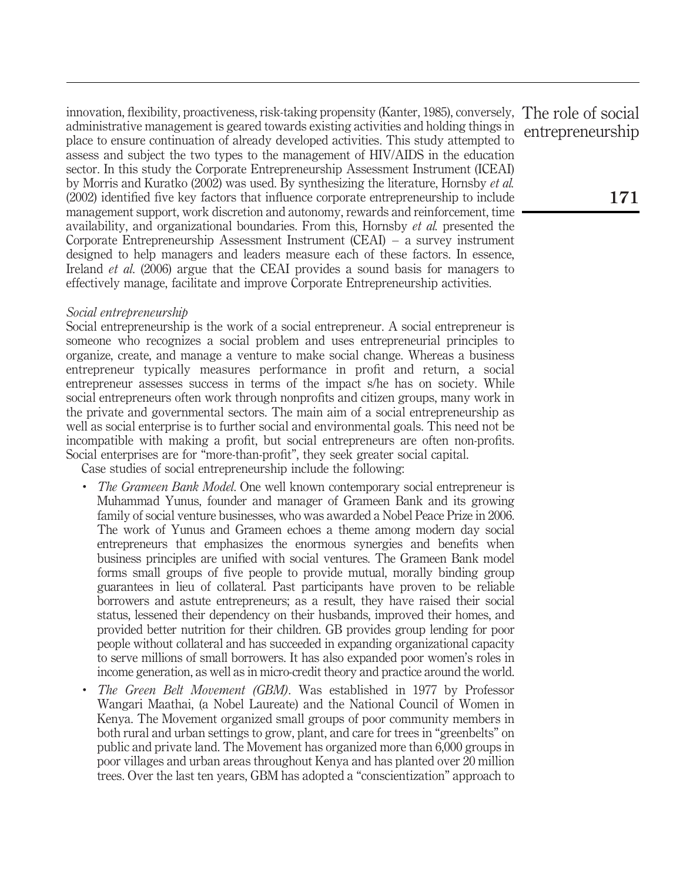innovation, flexibility, proactiveness, risk-taking propensity (Kanter, 1985), conversely, The role of social administrative management is geared towards existing activities and holding things in place to ensure continuation of already developed activities. This study attempted to assess and subject the two types to the management of HIV/AIDS in the education sector. In this study the Corporate Entrepreneurship Assessment Instrument (ICEAI) by Morris and Kuratko (2002) was used. By synthesizing the literature, Hornsby et al. (2002) identified five key factors that influence corporate entrepreneurship to include management support, work discretion and autonomy, rewards and reinforcement, time availability, and organizational boundaries. From this, Hornsby et al. presented the Corporate Entrepreneurship Assessment Instrument (CEAI) – a survey instrument designed to help managers and leaders measure each of these factors. In essence, Ireland et al. (2006) argue that the CEAI provides a sound basis for managers to effectively manage, facilitate and improve Corporate Entrepreneurship activities.

# Social entrepreneurship

Social entrepreneurship is the work of a social entrepreneur. A social entrepreneur is someone who recognizes a social problem and uses entrepreneurial principles to organize, create, and manage a venture to make social change. Whereas a business entrepreneur typically measures performance in profit and return, a social entrepreneur assesses success in terms of the impact s/he has on society. While social entrepreneurs often work through nonprofits and citizen groups, many work in the private and governmental sectors. The main aim of a social entrepreneurship as well as social enterprise is to further social and environmental goals. This need not be incompatible with making a profit, but social entrepreneurs are often non-profits. Social enterprises are for "more-than-profit", they seek greater social capital.

Case studies of social entrepreneurship include the following:

- . The Grameen Bank Model. One well known contemporary social entrepreneur is Muhammad Yunus, founder and manager of Grameen Bank and its growing family of social venture businesses, who was awarded a Nobel Peace Prize in 2006. The work of Yunus and Grameen echoes a theme among modern day social entrepreneurs that emphasizes the enormous synergies and benefits when business principles are unified with social ventures. The Grameen Bank model forms small groups of five people to provide mutual, morally binding group guarantees in lieu of collateral. Past participants have proven to be reliable borrowers and astute entrepreneurs; as a result, they have raised their social status, lessened their dependency on their husbands, improved their homes, and provided better nutrition for their children. GB provides group lending for poor people without collateral and has succeeded in expanding organizational capacity to serve millions of small borrowers. It has also expanded poor women's roles in income generation, as well as in micro-credit theory and practice around the world.
- . The Green Belt Movement (GBM). Was established in 1977 by Professor Wangari Maathai, (a Nobel Laureate) and the National Council of Women in Kenya. The Movement organized small groups of poor community members in both rural and urban settings to grow, plant, and care for trees in "greenbelts" on public and private land. The Movement has organized more than 6,000 groups in poor villages and urban areas throughout Kenya and has planted over 20 million trees. Over the last ten years, GBM has adopted a "conscientization" approach to

entrepreneurship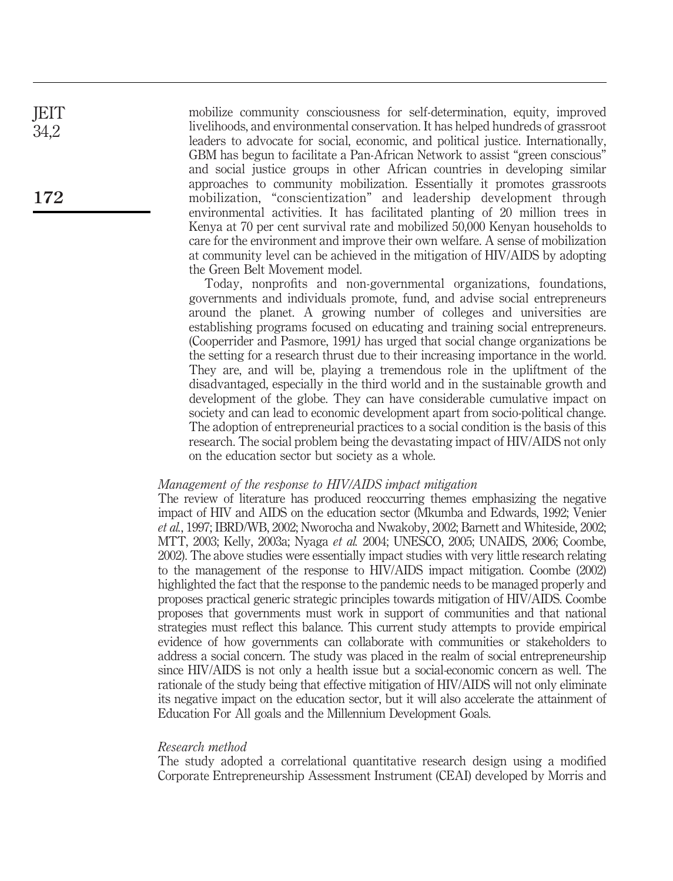mobilize community consciousness for self-determination, equity, improved livelihoods, and environmental conservation. It has helped hundreds of grassroot leaders to advocate for social, economic, and political justice. Internationally, GBM has begun to facilitate a Pan-African Network to assist "green conscious" and social justice groups in other African countries in developing similar approaches to community mobilization. Essentially it promotes grassroots mobilization, "conscientization" and leadership development through environmental activities. It has facilitated planting of 20 million trees in Kenya at 70 per cent survival rate and mobilized 50,000 Kenyan households to care for the environment and improve their own welfare. A sense of mobilization at community level can be achieved in the mitigation of HIV/AIDS by adopting the Green Belt Movement model.

Today, nonprofits and non-governmental organizations, foundations, governments and individuals promote, fund, and advise social entrepreneurs around the planet. A growing number of colleges and universities are establishing programs focused on educating and training social entrepreneurs. (Cooperrider and Pasmore, 1991) has urged that social change organizations be the setting for a research thrust due to their increasing importance in the world. They are, and will be, playing a tremendous role in the upliftment of the disadvantaged, especially in the third world and in the sustainable growth and development of the globe. They can have considerable cumulative impact on society and can lead to economic development apart from socio-political change. The adoption of entrepreneurial practices to a social condition is the basis of this research. The social problem being the devastating impact of HIV/AIDS not only on the education sector but society as a whole.

#### Management of the response to HIV/AIDS impact mitigation

The review of literature has produced reoccurring themes emphasizing the negative impact of HIV and AIDS on the education sector (Mkumba and Edwards, 1992; Venier et al., 1997; IBRD/WB, 2002; Nworocha and Nwakoby, 2002; Barnett and Whiteside, 2002; MTT, 2003; Kelly, 2003a; Nyaga et al. 2004; UNESCO, 2005; UNAIDS, 2006; Coombe, 2002). The above studies were essentially impact studies with very little research relating to the management of the response to HIV/AIDS impact mitigation. Coombe (2002) highlighted the fact that the response to the pandemic needs to be managed properly and proposes practical generic strategic principles towards mitigation of HIV/AIDS. Coombe proposes that governments must work in support of communities and that national strategies must reflect this balance. This current study attempts to provide empirical evidence of how governments can collaborate with communities or stakeholders to address a social concern. The study was placed in the realm of social entrepreneurship since HIV/AIDS is not only a health issue but a social-economic concern as well. The rationale of the study being that effective mitigation of HIV/AIDS will not only eliminate its negative impact on the education sector, but it will also accelerate the attainment of Education For All goals and the Millennium Development Goals.

## Research method

The study adopted a correlational quantitative research design using a modified Corporate Entrepreneurship Assessment Instrument (CEAI) developed by Morris and

**JEIT** 34,2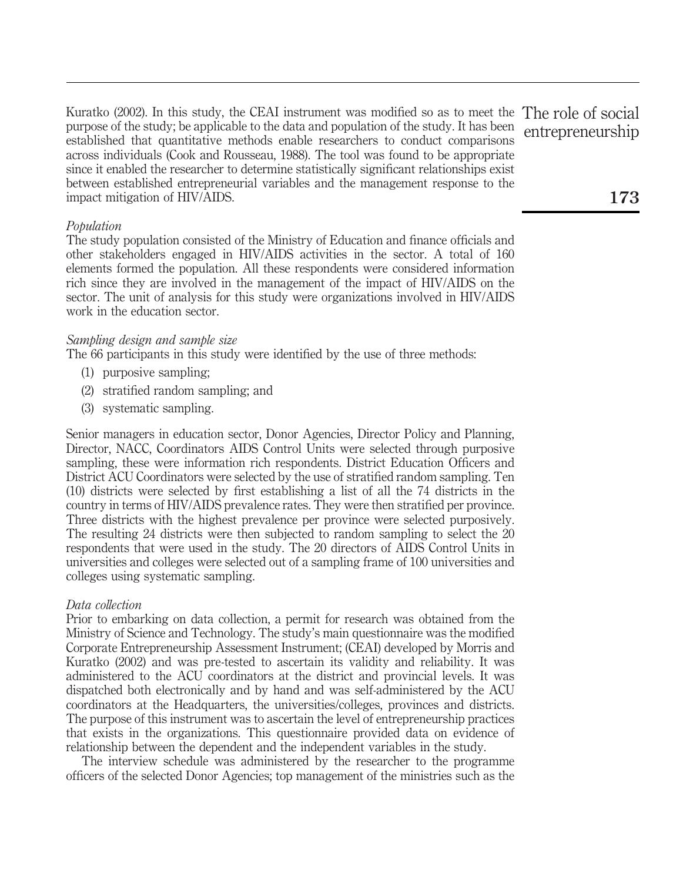Kuratko (2002). In this study, the CEAI instrument was modified so as to meet the The role of social purpose of the study; be applicable to the data and population of the study. It has been established that quantitative methods enable researchers to conduct comparisons across individuals (Cook and Rousseau, 1988). The tool was found to be appropriate since it enabled the researcher to determine statistically significant relationships exist between established entrepreneurial variables and the management response to the impact mitigation of HIV/AIDS.

## Population

The study population consisted of the Ministry of Education and finance officials and other stakeholders engaged in HIV/AIDS activities in the sector. A total of 160 elements formed the population. All these respondents were considered information rich since they are involved in the management of the impact of HIV/AIDS on the sector. The unit of analysis for this study were organizations involved in HIV/AIDS work in the education sector.

## Sampling design and sample size

The 66 participants in this study were identified by the use of three methods:

- (1) purposive sampling;
- (2) stratified random sampling; and
- (3) systematic sampling.

Senior managers in education sector, Donor Agencies, Director Policy and Planning, Director, NACC, Coordinators AIDS Control Units were selected through purposive sampling, these were information rich respondents. District Education Officers and District ACU Coordinators were selected by the use of stratified random sampling. Ten (10) districts were selected by first establishing a list of all the 74 districts in the country in terms of HIV/AIDS prevalence rates. They were then stratified per province. Three districts with the highest prevalence per province were selected purposively. The resulting 24 districts were then subjected to random sampling to select the 20 respondents that were used in the study. The 20 directors of AIDS Control Units in universities and colleges were selected out of a sampling frame of 100 universities and colleges using systematic sampling.

## Data collection

Prior to embarking on data collection, a permit for research was obtained from the Ministry of Science and Technology. The study's main questionnaire was the modified Corporate Entrepreneurship Assessment Instrument; (CEAI) developed by Morris and Kuratko (2002) and was pre-tested to ascertain its validity and reliability. It was administered to the ACU coordinators at the district and provincial levels. It was dispatched both electronically and by hand and was self-administered by the ACU coordinators at the Headquarters, the universities/colleges, provinces and districts. The purpose of this instrument was to ascertain the level of entrepreneurship practices that exists in the organizations. This questionnaire provided data on evidence of relationship between the dependent and the independent variables in the study.

The interview schedule was administered by the researcher to the programme officers of the selected Donor Agencies; top management of the ministries such as the

entrepreneurship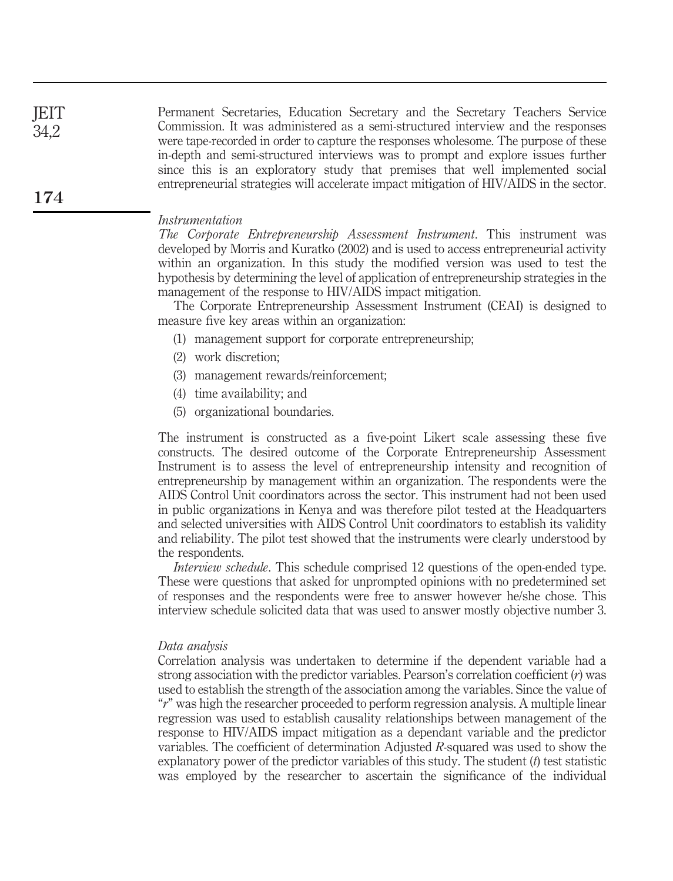Permanent Secretaries, Education Secretary and the Secretary Teachers Service Commission. It was administered as a semi-structured interview and the responses were tape-recorded in order to capture the responses wholesome. The purpose of these in-depth and semi-structured interviews was to prompt and explore issues further since this is an exploratory study that premises that well implemented social entrepreneurial strategies will accelerate impact mitigation of HIV/AIDS in the sector.

## Instrumentation

The Corborate Entrepreneurship Assessment Instrument. This instrument was developed by Morris and Kuratko (2002) and is used to access entrepreneurial activity within an organization. In this study the modified version was used to test the hypothesis by determining the level of application of entrepreneurship strategies in the management of the response to HIV/AIDS impact mitigation.

The Corporate Entrepreneurship Assessment Instrument (CEAI) is designed to measure five key areas within an organization:

- (1) management support for corporate entrepreneurship;
- (2) work discretion;
- (3) management rewards/reinforcement;
- (4) time availability; and
- (5) organizational boundaries.

The instrument is constructed as a five-point Likert scale assessing these five constructs. The desired outcome of the Corporate Entrepreneurship Assessment Instrument is to assess the level of entrepreneurship intensity and recognition of entrepreneurship by management within an organization. The respondents were the AIDS Control Unit coordinators across the sector. This instrument had not been used in public organizations in Kenya and was therefore pilot tested at the Headquarters and selected universities with AIDS Control Unit coordinators to establish its validity and reliability. The pilot test showed that the instruments were clearly understood by the respondents.

Interview schedule. This schedule comprised 12 questions of the open-ended type. These were questions that asked for unprompted opinions with no predetermined set of responses and the respondents were free to answer however he/she chose. This interview schedule solicited data that was used to answer mostly objective number 3.

## Data analysis

Correlation analysis was undertaken to determine if the dependent variable had a strong association with the predictor variables. Pearson's correlation coefficient  $(r)$  was used to establish the strength of the association among the variables. Since the value of "r" was high the researcher proceeded to perform regression analysis. A multiple linear regression was used to establish causality relationships between management of the response to HIV/AIDS impact mitigation as a dependant variable and the predictor variables. The coefficient of determination Adjusted R-squared was used to show the explanatory power of the predictor variables of this study. The student  $(t)$  test statistic was employed by the researcher to ascertain the significance of the individual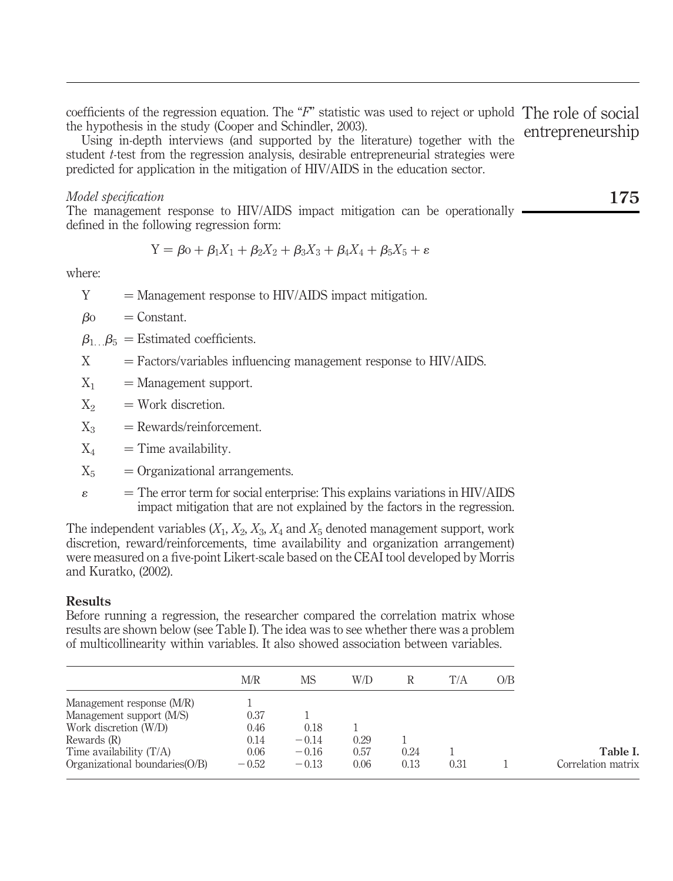coefficients of the regression equation. The "F" statistic was used to reject or uphold The role of social the hypothesis in the study (Cooper and Schindler, 2003). entrepreneurship

Using in-depth interviews (and supported by the literature) together with the student  $t$ -test from the regression analysis, desirable entrepreneurial strategies were predicted for application in the mitigation of HIV/AIDS in the education sector.

#### Model specification

The management response to HIV/AIDS impact mitigation can be operationally defined in the following regression form:

$$
Y = \beta_0 + \beta_1 X_1 + \beta_2 X_2 + \beta_3 X_3 + \beta_4 X_4 + \beta_5 X_5 + \varepsilon
$$

where:

- $Y =$ Management response to HIV/AIDS impact mitigation.
- $\beta$ <sup>o</sup>  $=$  Constant.

 $\beta_1$   $\beta_5$  = Estimated coefficients.

- $X =$  Factors/variables influencing management response to HIV/AIDS.
- $X_1$  = Management support.
- $X_2$  = Work discretion.
- $X_3$  = Rewards/reinforcement.
- $X_4$  = Time availability.
- $X<sub>5</sub>$  = Organizational arrangements.
- $\epsilon$  = The error term for social enterprise: This explains variations in HIV/AIDS impact mitigation that are not explained by the factors in the regression.

The independent variables  $(X_1, X_2, X_3, X_4, X_5)$  denoted management support, work discretion, reward/reinforcements, time availability and organization arrangement) were measured on a five-point Likert-scale based on the CEAI tool developed by Morris and Kuratko, (2002).

# Results

Before running a regression, the researcher compared the correlation matrix whose results are shown below (see Table I). The idea was to see whether there was a problem of multicollinearity within variables. It also showed association between variables.

|                                   | M/R     | MS      | W/D  |      | T/A  | O/B |                    |
|-----------------------------------|---------|---------|------|------|------|-----|--------------------|
| Management response (M/R)         |         |         |      |      |      |     |                    |
| Management support (M/S)          | 0.37    |         |      |      |      |     |                    |
| Work discretion (W/D)             | 0.46    | 0.18    |      |      |      |     |                    |
| Rewards (R)                       | 0.14    | $-0.14$ | 0.29 |      |      |     |                    |
| Time availability $(T/A)$         | 0.06    | $-0.16$ | 0.57 | 0.24 |      |     | Table I.           |
| Organizational boundaries $O/B$ ) | $-0.52$ | $-0.13$ | 0.06 | 0.13 | 0.31 |     | Correlation matrix |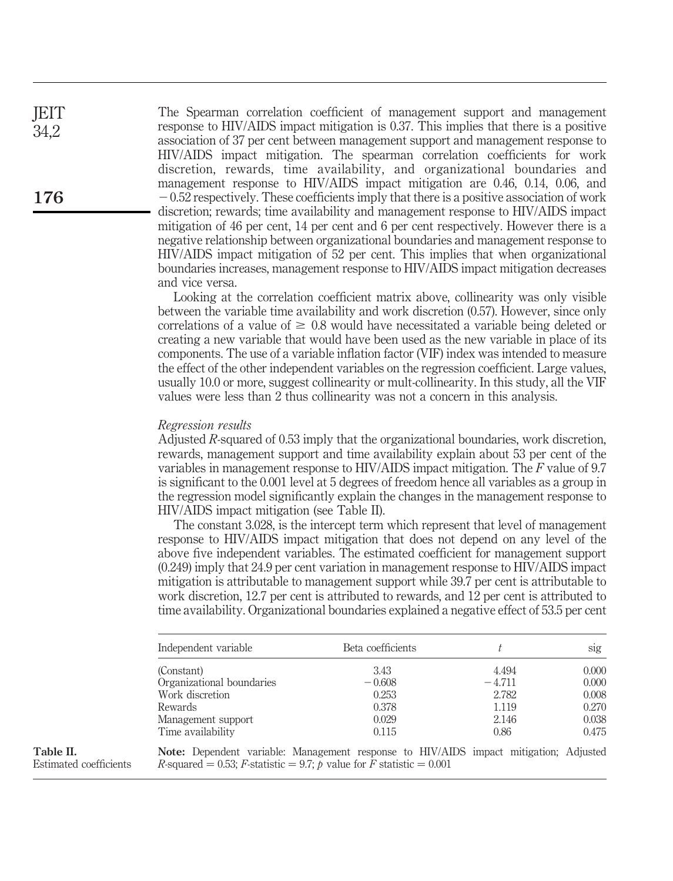The Spearman correlation coefficient of management support and management response to HIV/AIDS impact mitigation is 0.37. This implies that there is a positive association of 37 per cent between management support and management response to HIV/AIDS impact mitigation. The spearman correlation coefficients for work discretion, rewards, time availability, and organizational boundaries and management response to HIV/AIDS impact mitigation are 0.46, 0.14, 0.06, and  $-0.52$  respectively. These coefficients imply that there is a positive association of work discretion; rewards; time availability and management response to HIV/AIDS impact mitigation of 46 per cent, 14 per cent and 6 per cent respectively. However there is a negative relationship between organizational boundaries and management response to HIV/AIDS impact mitigation of 52 per cent. This implies that when organizational boundaries increases, management response to HIV/AIDS impact mitigation decreases and vice versa.

Looking at the correlation coefficient matrix above, collinearity was only visible between the variable time availability and work discretion (0.57). However, since only correlations of a value of  $\geq 0.8$  would have necessitated a variable being deleted or creating a new variable that would have been used as the new variable in place of its components. The use of a variable inflation factor (VIF) index was intended to measure the effect of the other independent variables on the regression coefficient. Large values, usually 10.0 or more, suggest collinearity or mult-collinearity. In this study, all the VIF values were less than 2 thus collinearity was not a concern in this analysis.

#### Regression results

Adjusted R-squared of 0.53 imply that the organizational boundaries, work discretion, rewards, management support and time availability explain about 53 per cent of the variables in management response to HIV/AIDS impact mitigation. The F value of 9.7 is significant to the 0.001 level at 5 degrees of freedom hence all variables as a group in the regression model significantly explain the changes in the management response to HIV/AIDS impact mitigation (see Table II).

The constant 3.028, is the intercept term which represent that level of management response to HIV/AIDS impact mitigation that does not depend on any level of the above five independent variables. The estimated coefficient for management support (0.249) imply that 24.9 per cent variation in management response to HIV/AIDS impact mitigation is attributable to management support while 39.7 per cent is attributable to work discretion, 12.7 per cent is attributed to rewards, and 12 per cent is attributed to time availability. Organizational boundaries explained a negative effect of 53.5 per cent

|                                                                        | Independent variable                                                                                                                                                                                                                                                                                                                                                                             | Beta coefficients |          | S1g   |  |
|------------------------------------------------------------------------|--------------------------------------------------------------------------------------------------------------------------------------------------------------------------------------------------------------------------------------------------------------------------------------------------------------------------------------------------------------------------------------------------|-------------------|----------|-------|--|
|                                                                        | (Constant)                                                                                                                                                                                                                                                                                                                                                                                       | 3.43              | 4.494    | 0.000 |  |
|                                                                        | Organizational boundaries                                                                                                                                                                                                                                                                                                                                                                        | $-0.608$          | $-4.711$ | 0.000 |  |
|                                                                        | Work discretion                                                                                                                                                                                                                                                                                                                                                                                  | 0.253             | 2.782    | 0.008 |  |
|                                                                        | Rewards                                                                                                                                                                                                                                                                                                                                                                                          | 0.378             | 1.119    | 0.270 |  |
|                                                                        | Management support                                                                                                                                                                                                                                                                                                                                                                               | 0.029             | 2.146    | 0.038 |  |
|                                                                        | Time availability                                                                                                                                                                                                                                                                                                                                                                                | 0.115             | 0.86     | 0.475 |  |
| Table II.<br>$\mathbf{r}$ . $\mathbf{r}$ . $\mathbf{r}$ . $\mathbf{r}$ | <b>Note:</b> Dependent variable: Management response to HIV/AIDS impact mitigation; Adjusted<br>$\mathbf{D}$ and $\mathbf{D}$ and $\mathbf{D}$ and $\mathbf{D}$ and $\mathbf{D}$ and $\mathbf{D}$ and $\mathbf{D}$ and $\mathbf{D}$ and $\mathbf{D}$ and $\mathbf{D}$ and $\mathbf{D}$ and $\mathbf{D}$ and $\mathbf{D}$ and $\mathbf{D}$ and $\mathbf{D}$ and $\mathbf{D}$ and $\mathbf{D}$ and |                   |          |       |  |

Estimated coefficients

R-squared  $= 0.53$ ; F-statistic  $= 9.7$ ; p value for F statistic  $= 0.001$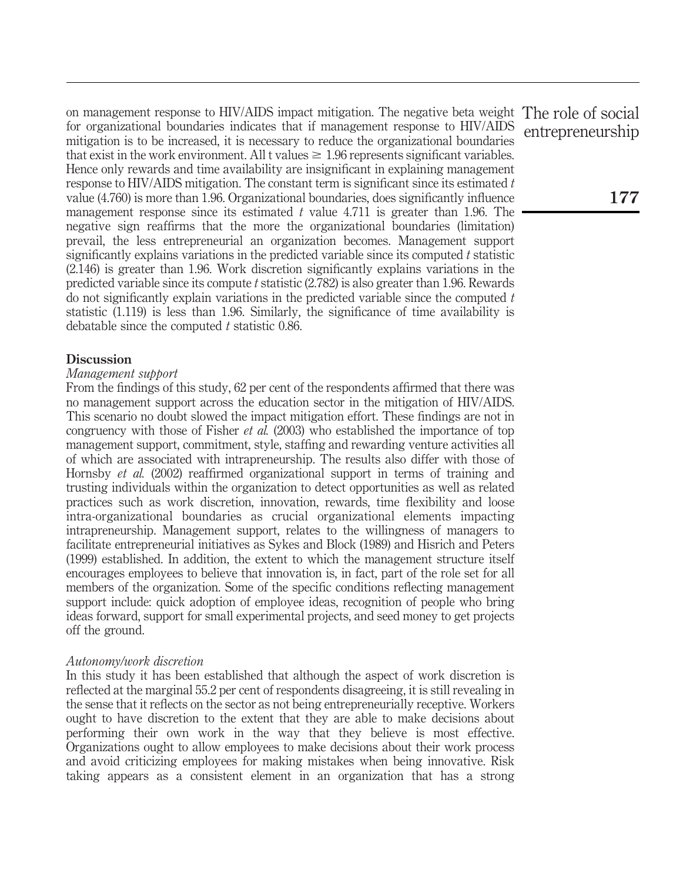on management response to HIV/AIDS impact mitigation. The negative beta weight The role of social for organizational boundaries indicates that if management response to HIV/AIDS mitigation is to be increased, it is necessary to reduce the organizational boundaries that exist in the work environment. All t values  $\geq 1.96$  represents significant variables. Hence only rewards and time availability are insignificant in explaining management response to HIV/AIDS mitigation. The constant term is significant since its estimated  $t$ value (4.760) is more than 1.96. Organizational boundaries, does significantly influence management response since its estimated  $t$  value 4.711 is greater than 1.96. The negative sign reaffirms that the more the organizational boundaries (limitation) prevail, the less entrepreneurial an organization becomes. Management support significantly explains variations in the predicted variable since its computed  $t$  statistic (2.146) is greater than 1.96. Work discretion significantly explains variations in the predicted variable since its compute t statistic (2.782) is also greater than 1.96. Rewards do not significantly explain variations in the predicted variable since the computed  $t$ statistic (1.119) is less than 1.96. Similarly, the significance of time availability is debatable since the computed  $t$  statistic 0.86.

## **Discussion**

# Management support

From the findings of this study, 62 per cent of the respondents affirmed that there was no management support across the education sector in the mitigation of HIV/AIDS. This scenario no doubt slowed the impact mitigation effort. These findings are not in congruency with those of Fisher *et al.* (2003) who established the importance of top management support, commitment, style, staffing and rewarding venture activities all of which are associated with intrapreneurship. The results also differ with those of Hornsby et al. (2002) reaffirmed organizational support in terms of training and trusting individuals within the organization to detect opportunities as well as related practices such as work discretion, innovation, rewards, time flexibility and loose intra-organizational boundaries as crucial organizational elements impacting intrapreneurship. Management support, relates to the willingness of managers to facilitate entrepreneurial initiatives as Sykes and Block (1989) and Hisrich and Peters (1999) established. In addition, the extent to which the management structure itself encourages employees to believe that innovation is, in fact, part of the role set for all members of the organization. Some of the specific conditions reflecting management support include: quick adoption of employee ideas, recognition of people who bring ideas forward, support for small experimental projects, and seed money to get projects off the ground.

# Autonomy/work discretion

In this study it has been established that although the aspect of work discretion is reflected at the marginal 55.2 per cent of respondents disagreeing, it is still revealing in the sense that it reflects on the sector as not being entrepreneurially receptive. Workers ought to have discretion to the extent that they are able to make decisions about performing their own work in the way that they believe is most effective. Organizations ought to allow employees to make decisions about their work process and avoid criticizing employees for making mistakes when being innovative. Risk taking appears as a consistent element in an organization that has a strong

entrepreneurship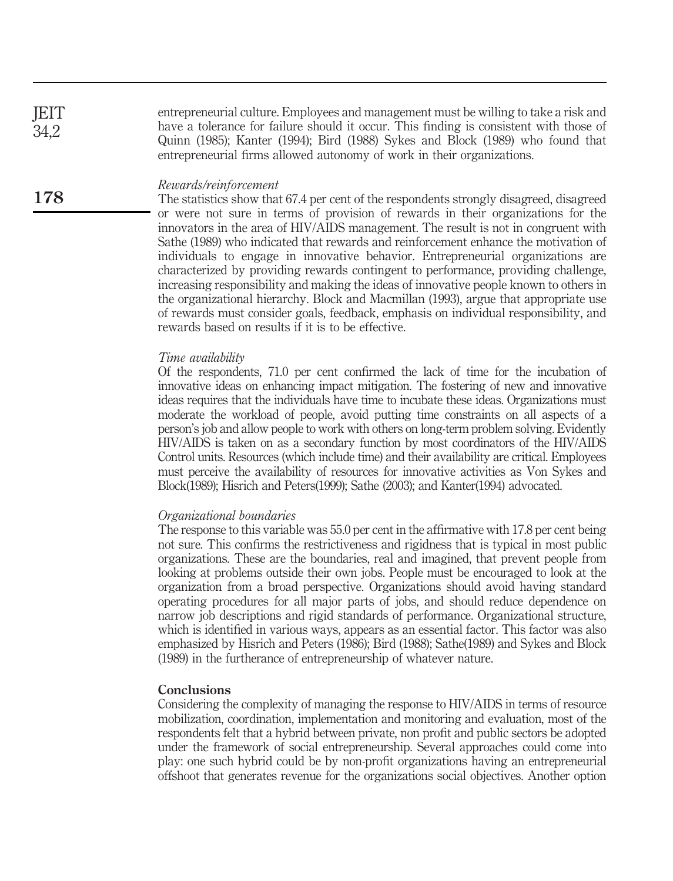entrepreneurial culture. Employees and management must be willing to take a risk and have a tolerance for failure should it occur. This finding is consistent with those of Quinn (1985); Kanter (1994); Bird (1988) Sykes and Block (1989) who found that entrepreneurial firms allowed autonomy of work in their organizations.

## Rewards/reinforcement

The statistics show that 67.4 per cent of the respondents strongly disagreed, disagreed or were not sure in terms of provision of rewards in their organizations for the innovators in the area of HIV/AIDS management. The result is not in congruent with Sathe (1989) who indicated that rewards and reinforcement enhance the motivation of individuals to engage in innovative behavior. Entrepreneurial organizations are characterized by providing rewards contingent to performance, providing challenge, increasing responsibility and making the ideas of innovative people known to others in the organizational hierarchy. Block and Macmillan (1993), argue that appropriate use of rewards must consider goals, feedback, emphasis on individual responsibility, and rewards based on results if it is to be effective.

#### Time availability

Of the respondents, 71.0 per cent confirmed the lack of time for the incubation of innovative ideas on enhancing impact mitigation. The fostering of new and innovative ideas requires that the individuals have time to incubate these ideas. Organizations must moderate the workload of people, avoid putting time constraints on all aspects of a person's job and allow people to work with others on long-term problem solving. Evidently HIV/AIDS is taken on as a secondary function by most coordinators of the HIV/AIDS Control units. Resources (which include time) and their availability are critical. Employees must perceive the availability of resources for innovative activities as Von Sykes and Block(1989); Hisrich and Peters(1999); Sathe (2003); and Kanter(1994) advocated.

## Organizational boundaries

The response to this variable was 55.0 per cent in the affirmative with 17.8 per cent being not sure. This confirms the restrictiveness and rigidness that is typical in most public organizations. These are the boundaries, real and imagined, that prevent people from looking at problems outside their own jobs. People must be encouraged to look at the organization from a broad perspective. Organizations should avoid having standard operating procedures for all major parts of jobs, and should reduce dependence on narrow job descriptions and rigid standards of performance. Organizational structure, which is identified in various ways, appears as an essential factor. This factor was also emphasized by Hisrich and Peters (1986); Bird (1988); Sathe(1989) and Sykes and Block (1989) in the furtherance of entrepreneurship of whatever nature.

## **Conclusions**

Considering the complexity of managing the response to HIV/AIDS in terms of resource mobilization, coordination, implementation and monitoring and evaluation, most of the respondents felt that a hybrid between private, non profit and public sectors be adopted under the framework of social entrepreneurship. Several approaches could come into play: one such hybrid could be by non-profit organizations having an entrepreneurial offshoot that generates revenue for the organizations social objectives. Another option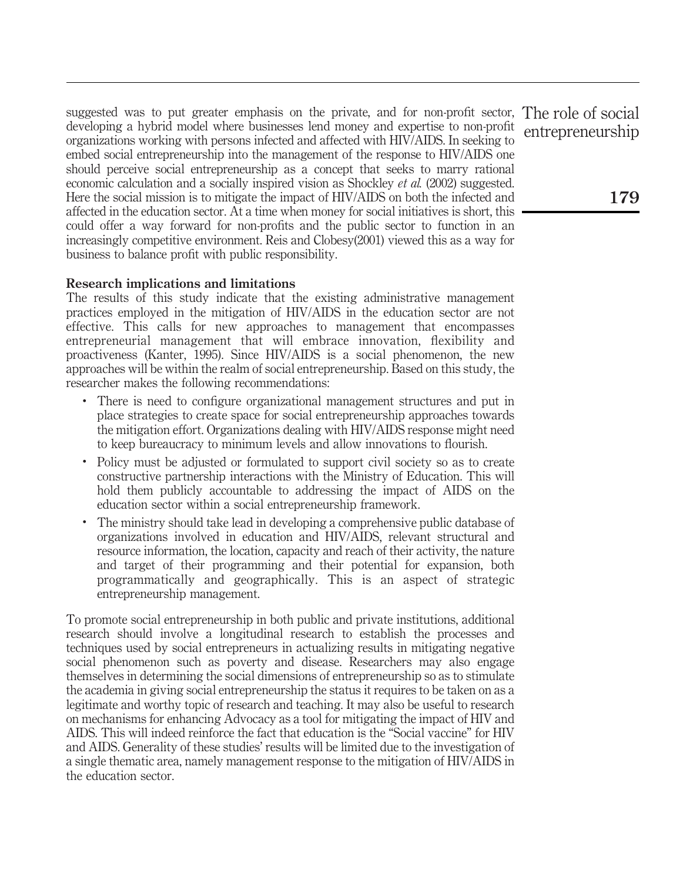suggested was to put greater emphasis on the private, and for non-profit sector, The role of social developing a hybrid model where businesses lend money and expertise to non-profit organizations working with persons infected and affected with HIV/AIDS. In seeking to embed social entrepreneurship into the management of the response to HIV/AIDS one should perceive social entrepreneurship as a concept that seeks to marry rational economic calculation and a socially inspired vision as Shockley et al. (2002) suggested. Here the social mission is to mitigate the impact of HIV/AIDS on both the infected and affected in the education sector. At a time when money for social initiatives is short, this could offer a way forward for non-profits and the public sector to function in an increasingly competitive environment. Reis and Clobesy(2001) viewed this as a way for business to balance profit with public responsibility.

# Research implications and limitations

The results of this study indicate that the existing administrative management practices employed in the mitigation of HIV/AIDS in the education sector are not effective. This calls for new approaches to management that encompasses entrepreneurial management that will embrace innovation, flexibility and proactiveness (Kanter, 1995). Since HIV/AIDS is a social phenomenon, the new approaches will be within the realm of social entrepreneurship. Based on this study, the researcher makes the following recommendations:

- . There is need to configure organizational management structures and put in place strategies to create space for social entrepreneurship approaches towards the mitigation effort. Organizations dealing with HIV/AIDS response might need to keep bureaucracy to minimum levels and allow innovations to flourish.
- . Policy must be adjusted or formulated to support civil society so as to create constructive partnership interactions with the Ministry of Education. This will hold them publicly accountable to addressing the impact of AIDS on the education sector within a social entrepreneurship framework.
- . The ministry should take lead in developing a comprehensive public database of organizations involved in education and HIV/AIDS, relevant structural and resource information, the location, capacity and reach of their activity, the nature and target of their programming and their potential for expansion, both programmatically and geographically. This is an aspect of strategic entrepreneurship management.

To promote social entrepreneurship in both public and private institutions, additional research should involve a longitudinal research to establish the processes and techniques used by social entrepreneurs in actualizing results in mitigating negative social phenomenon such as poverty and disease. Researchers may also engage themselves in determining the social dimensions of entrepreneurship so as to stimulate the academia in giving social entrepreneurship the status it requires to be taken on as a legitimate and worthy topic of research and teaching. It may also be useful to research on mechanisms for enhancing Advocacy as a tool for mitigating the impact of HIV and AIDS. This will indeed reinforce the fact that education is the "Social vaccine" for HIV and AIDS. Generality of these studies' results will be limited due to the investigation of a single thematic area, namely management response to the mitigation of HIV/AIDS in the education sector.

entrepreneurship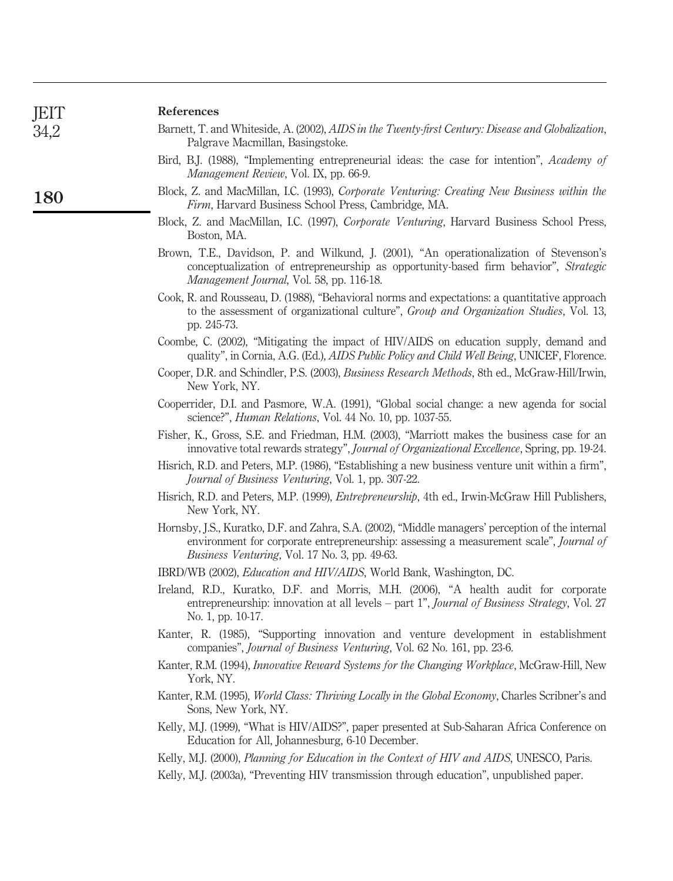| JEIT | References |
|------|------------|
|------|------------|

34,2

- Barnett, T. and Whiteside, A. (2002), AIDS in the Twenty-first Century: Disease and Globalization, Palgrave Macmillan, Basingstoke.
	- Bird, B.J. (1988), "Implementing entrepreneurial ideas: the case for intention", Academy of Management Review, Vol. IX, pp. 66-9.
	- Block, Z. and MacMillan, I.C. (1993), Corporate Venturing: Creating New Business within the Firm, Harvard Business School Press, Cambridge, MA.
	- Block, Z. and MacMillan, I.C. (1997), Corporate Venturing, Harvard Business School Press, Boston, MA.
	- Brown, T.E., Davidson, P. and Wilkund, J. (2001), "An operationalization of Stevenson's conceptualization of entrepreneurship as opportunity-based firm behavior", Strategic Management Journal, Vol. 58, pp. 116-18.
	- Cook, R. and Rousseau, D. (1988), "Behavioral norms and expectations: a quantitative approach to the assessment of organizational culture", Group and Organization Studies, Vol. 13, pp. 245-73.
	- Coombe, C. (2002), "Mitigating the impact of HIV/AIDS on education supply, demand and quality", in Cornia, A.G. (Ed.), *AIDS Public Policy and Child Well Being*, UNICEF, Florence.
	- Cooper, D.R. and Schindler, P.S. (2003), Business Research Methods, 8th ed., McGraw-Hill/Irwin, New York, NY.
	- Cooperrider, D.I. and Pasmore, W.A. (1991), "Global social change: a new agenda for social science?", Human Relations, Vol. 44 No. 10, pp. 1037-55.
	- Fisher, K., Gross, S.E. and Friedman, H.M. (2003), "Marriott makes the business case for an innovative total rewards strategy", Journal of Organizational Excellence, Spring, pp. 19-24.
	- Hisrich, R.D. and Peters, M.P. (1986), "Establishing a new business venture unit within a firm", Journal of Business Venturing, Vol. 1, pp. 307-22.
	- Hisrich, R.D. and Peters, M.P. (1999), Entrepreneurship, 4th ed., Irwin-McGraw Hill Publishers, New York, NY.
	- Hornsby, J.S., Kuratko, D.F. and Zahra, S.A. (2002), "Middle managers' perception of the internal environment for corporate entrepreneurship: assessing a measurement scale", Journal of Business Venturing, Vol. 17 No. 3, pp. 49-63.
	- IBRD/WB (2002), Education and HIV/AIDS, World Bank, Washington, DC.
	- Ireland, R.D., Kuratko, D.F. and Morris, M.H. (2006), "A health audit for corporate entrepreneurship: innovation at all levels – part 1", Journal of Business Strategy, Vol. 27 No. 1, pp. 10-17.
	- Kanter, R. (1985), "Supporting innovation and venture development in establishment companies", Journal of Business Venturing, Vol. 62 No. 161, pp. 23-6.
	- Kanter, R.M. (1994), Innovative Reward Systems for the Changing Workplace, McGraw-Hill, New York, NY.
	- Kanter, R.M. (1995), *World Class: Thriving Locally in the Global Economy*, Charles Scribner's and Sons, New York, NY.
	- Kelly, M.J. (1999), "What is HIV/AIDS?", paper presented at Sub-Saharan Africa Conference on Education for All, Johannesburg, 6-10 December.
	- Kelly, M.J. (2000), Planning for Education in the Context of HIV and AIDS, UNESCO, Paris.
	- Kelly, M.J. (2003a), "Preventing HIV transmission through education", unpublished paper.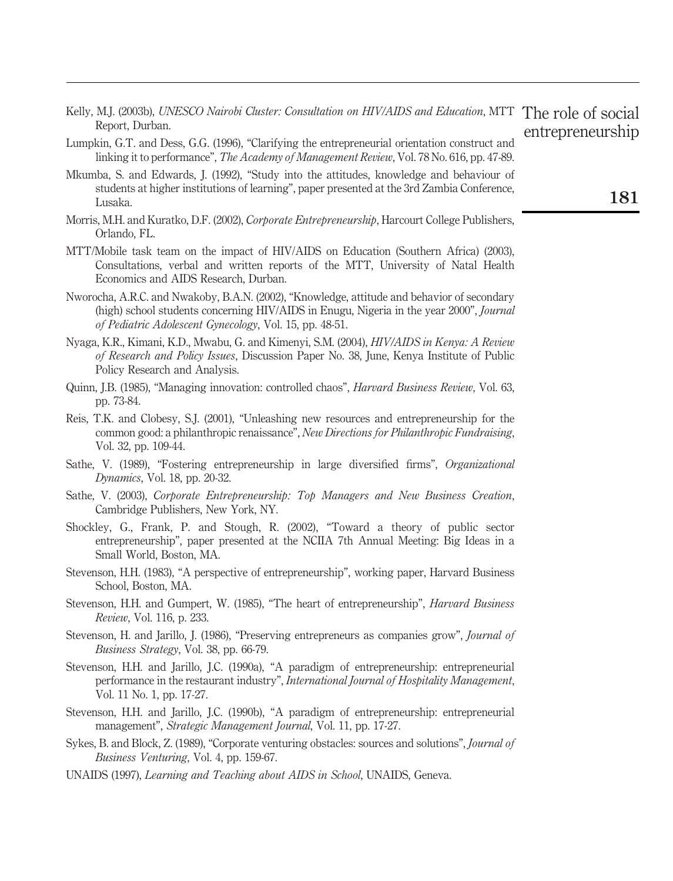- Kelly, M.J. (2003b), UNESCO Nairobi Cluster: Consultation on HIV/AIDS and Education, MTT The role of social Report, Durban. entrepreneurship
- Lumpkin, G.T. and Dess, G.G. (1996), "Clarifying the entrepreneurial orientation construct and linking it to performance", The Academy of Management Review, Vol. 78 No. 616, pp. 47-89.
- Mkumba, S. and Edwards, J. (1992), "Study into the attitudes, knowledge and behaviour of students at higher institutions of learning", paper presented at the 3rd Zambia Conference, Lusaka.
- Morris, M.H. and Kuratko, D.F. (2002), Corporate Entrepreneurship, Harcourt College Publishers, Orlando, FL.
- MTT/Mobile task team on the impact of HIV/AIDS on Education (Southern Africa) (2003), Consultations, verbal and written reports of the MTT, University of Natal Health Economics and AIDS Research, Durban.
- Nworocha, A.R.C. and Nwakoby, B.A.N. (2002), "Knowledge, attitude and behavior of secondary (high) school students concerning HIV/AIDS in Enugu, Nigeria in the year 2000", Journal of Pediatric Adolescent Gynecology, Vol. 15, pp. 48-51.
- Nyaga, K.R., Kimani, K.D., Mwabu, G. and Kimenyi, S.M. (2004), HIV/AIDS in Kenya: A Review of Research and Policy Issues, Discussion Paper No. 38, June, Kenya Institute of Public Policy Research and Analysis.
- Quinn, J.B. (1985), "Managing innovation: controlled chaos", Harvard Business Review, Vol. 63, pp. 73-84.
- Reis, T.K. and Clobesy, S.J. (2001), "Unleashing new resources and entrepreneurship for the common good: a philanthropic renaissance", New Directions for Philanthropic Fundraising, Vol. 32, pp. 109-44.
- Sathe, V. (1989), "Fostering entrepreneurship in large diversified firms", Organizational Dynamics, Vol. 18, pp. 20-32.
- Sathe, V. (2003), Corporate Entrepreneurship: Top Managers and New Business Creation, Cambridge Publishers, New York, NY.
- Shockley, G., Frank, P. and Stough, R. (2002), "Toward a theory of public sector entrepreneurship", paper presented at the NCIIA 7th Annual Meeting: Big Ideas in a Small World, Boston, MA.
- Stevenson, H.H. (1983), "A perspective of entrepreneurship", working paper, Harvard Business School, Boston, MA.
- Stevenson, H.H. and Gumpert, W. (1985), "The heart of entrepreneurship", Harvard Business Review, Vol. 116, p. 233.
- Stevenson, H. and Jarillo, J. (1986), "Preserving entrepreneurs as companies grow", Journal of Business Strategy, Vol. 38, pp. 66-79.
- Stevenson, H.H. and Jarillo, J.C. (1990a), "A paradigm of entrepreneurship: entrepreneurial performance in the restaurant industry", International Journal of Hospitality Management, Vol. 11 No. 1, pp. 17-27.
- Stevenson, H.H. and Jarillo, J.C. (1990b), "A paradigm of entrepreneurship: entrepreneurial management", Strategic Management Journal, Vol. 11, pp. 17-27.
- Sykes, B. and Block, Z. (1989), "Corporate venturing obstacles: sources and solutions", Journal of Business Venturing, Vol. 4, pp. 159-67.
- UNAIDS (1997), Learning and Teaching about AIDS in School, UNAIDS, Geneva.